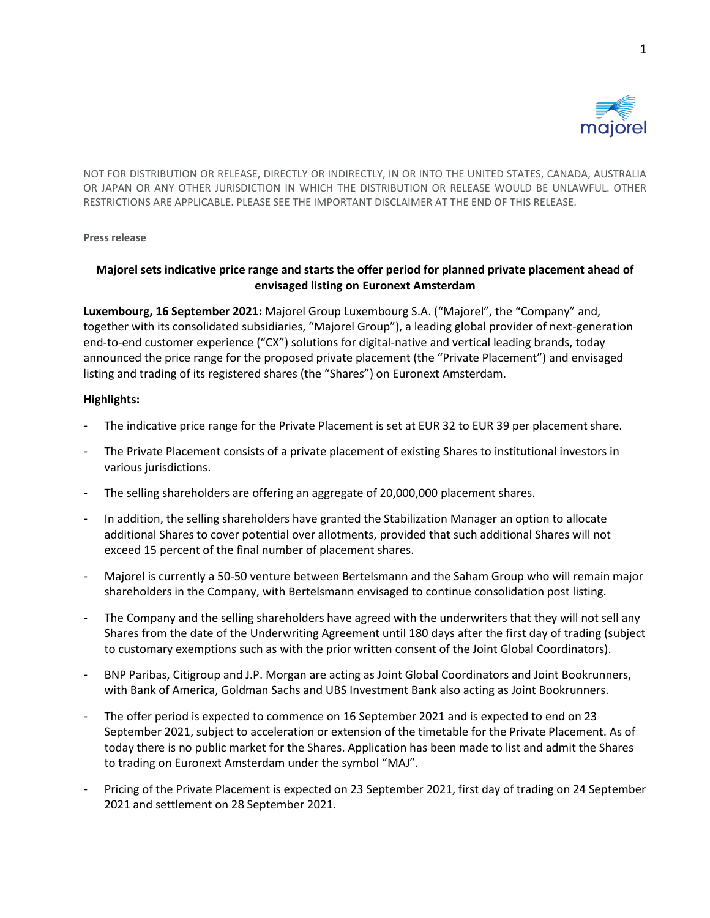

NOT FOR DISTRIBUTION OR RELEASE, DIRECTLY OR INDIRECTLY, IN OR INTO THE UNITED STATES, CANADA, AUSTRALIA OR JAPAN OR ANY OTHER JURISDICTION IN WHICH THE DISTRIBUTION OR RELEASE WOULD BE UNLAWFUL. OTHER RESTRICTIONS ARE APPLICABLE. PLEASE SEE THE IMPORTANT DISCLAIMER AT THE END OF THIS RELEASE.

### **Press release**

# **Majorel sets indicative price range and starts the offer period for planned private placement ahead of envisaged listing on Euronext Amsterdam**

**Luxembourg, 16 September 2021:** Majorel Group Luxembourg S.A. ("Majorel", the "Company" and, together with its consolidated subsidiaries, "Majorel Group"), a leading global provider of next-generation end-to-end customer experience ("CX") solutions for digital-native and vertical leading brands, today announced the price range for the proposed private placement (the "Private Placement") and envisaged listing and trading of its registered shares (the "Shares") on Euronext Amsterdam.

## **Highlights:**

- The indicative price range for the Private Placement is set at EUR 32 to EUR 39 per placement share.
- The Private Placement consists of a private placement of existing Shares to institutional investors in various jurisdictions.
- The selling shareholders are offering an aggregate of 20,000,000 placement shares.
- In addition, the selling shareholders have granted the Stabilization Manager an option to allocate additional Shares to cover potential over allotments, provided that such additional Shares will not exceed 15 percent of the final number of placement shares.
- Majorel is currently a 50-50 venture between Bertelsmann and the Saham Group who will remain major shareholders in the Company, with Bertelsmann envisaged to continue consolidation post listing.
- The Company and the selling shareholders have agreed with the underwriters that they will not sell any Shares from the date of the Underwriting Agreement until 180 days after the first day of trading (subject to customary exemptions such as with the prior written consent of the Joint Global Coordinators).
- BNP Paribas, Citigroup and J.P. Morgan are acting as Joint Global Coordinators and Joint Bookrunners, with Bank of America, Goldman Sachs and UBS Investment Bank also acting as Joint Bookrunners.
- The offer period is expected to commence on 16 September 2021 and is expected to end on 23 September 2021, subject to acceleration or extension of the timetable for the Private Placement. As of today there is no public market for the Shares. Application has been made to list and admit the Shares to trading on Euronext Amsterdam under the symbol "MAJ".
- Pricing of the Private Placement is expected on 23 September 2021, first day of trading on 24 September 2021 and settlement on 28 September 2021.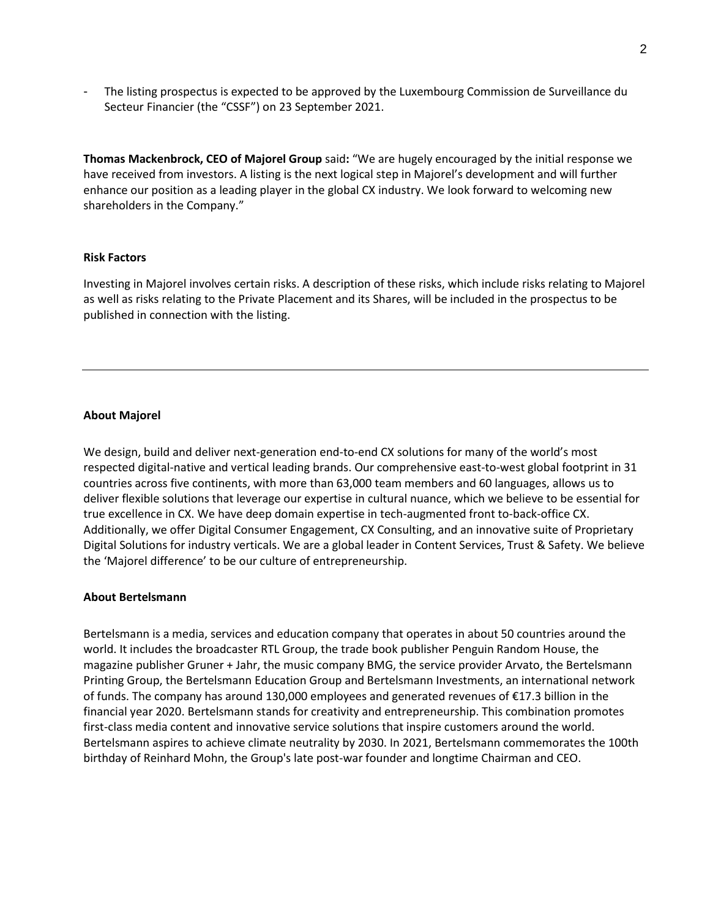- The listing prospectus is expected to be approved by the Luxembourg Commission de Surveillance du Secteur Financier (the "CSSF") on 23 September 2021.

**Thomas Mackenbrock, CEO of Majorel Group** said**:** "We are hugely encouraged by the initial response we have received from investors. A listing is the next logical step in Majorel's development and will further enhance our position as a leading player in the global CX industry. We look forward to welcoming new shareholders in the Company."

### **Risk Factors**

Investing in Majorel involves certain risks. A description of these risks, which include risks relating to Majorel as well as risks relating to the Private Placement and its Shares, will be included in the prospectus to be published in connection with the listing.

### **About Majorel**

We design, build and deliver next-generation end-to-end CX solutions for many of the world's most respected digital-native and vertical leading brands. Our comprehensive east-to-west global footprint in 31 countries across five continents, with more than 63,000 team members and 60 languages, allows us to deliver flexible solutions that leverage our expertise in cultural nuance, which we believe to be essential for true excellence in CX. We have deep domain expertise in tech-augmented front to-back-office CX. Additionally, we offer Digital Consumer Engagement, CX Consulting, and an innovative suite of Proprietary Digital Solutions for industry verticals. We are a global leader in Content Services, Trust & Safety. We believe the 'Majorel difference' to be our culture of entrepreneurship.

### **About Bertelsmann**

Bertelsmann is a media, services and education company that operates in about 50 countries around the world. It includes the broadcaster RTL Group, the trade book publisher Penguin Random House, the magazine publisher Gruner + Jahr, the music company BMG, the service provider Arvato, the Bertelsmann Printing Group, the Bertelsmann Education Group and Bertelsmann Investments, an international network of funds. The company has around 130,000 employees and generated revenues of €17.3 billion in the financial year 2020. Bertelsmann stands for creativity and entrepreneurship. This combination promotes first-class media content and innovative service solutions that inspire customers around the world. Bertelsmann aspires to achieve climate neutrality by 2030. In 2021, Bertelsmann commemorates the 100th birthday of Reinhard Mohn, the Group's late post-war founder and longtime Chairman and CEO.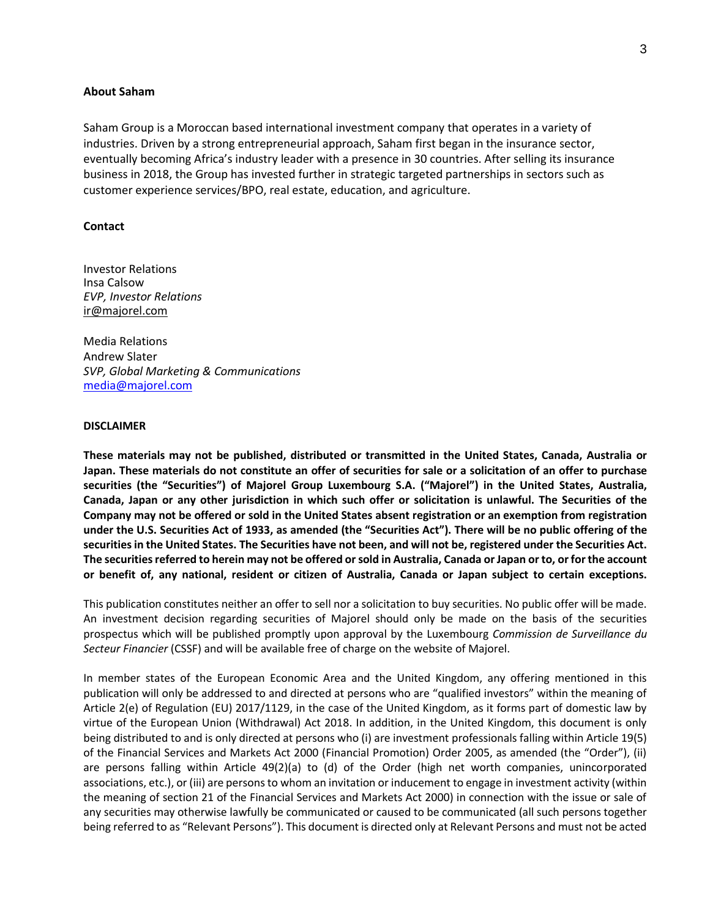#### **About Saham**

Saham Group is a Moroccan based international investment company that operates in a variety of industries. Driven by a strong entrepreneurial approach, Saham first began in the insurance sector, eventually becoming Africa's industry leader with a presence in 30 countries. After selling its insurance business in 2018, the Group has invested further in strategic targeted partnerships in sectors such as customer experience services/BPO, real estate, education, and agriculture.

#### **Contact**

Investor Relations Insa Calsow *EVP, Investor Relations*  [ir@majorel.com](mailto:insa.calsow@majorel.com)

Media Relations Andrew Slater *SVP, Global Marketing & Communications* [media@majorel.com](mailto:media@majorel.com)

#### **DISCLAIMER**

**These materials may not be published, distributed or transmitted in the United States, Canada, Australia or** Japan. These materials do not constitute an offer of securities for sale or a solicitation of an offer to purchase **securities (the "Securities") of Majorel Group Luxembourg S.A. ("Majorel") in the United States, Australia,** Canada, Japan or any other jurisdiction in which such offer or solicitation is unlawful. The Securities of the Company may not be offered or sold in the United States absent registration or an exemption from registration under the U.S. Securities Act of 1933, as amended (the "Securities Act"). There will be no public offering of the securities in the United States. The Securities have not been, and will not be, registered under the Securities Act. The securities referred to herein may not be offered or sold in Australia, Canada or Japan or to, or for the account or benefit of, any national, resident or citizen of Australia, Canada or Japan subject to certain exceptions.

This publication constitutes neither an offer to sell nor a solicitation to buy securities. No public offer will be made. An investment decision regarding securities of Majorel should only be made on the basis of the securities prospectus which will be published promptly upon approval by the Luxembourg *Commission de Surveillance du Secteur Financier* (CSSF) and will be available free of charge on the website of Majorel.

In member states of the European Economic Area and the United Kingdom, any offering mentioned in this publication will only be addressed to and directed at persons who are "qualified investors" within the meaning of Article 2(e) of Regulation (EU) 2017/1129, in the case of the United Kingdom, as it forms part of domestic law by virtue of the European Union (Withdrawal) Act 2018. In addition, in the United Kingdom, this document is only being distributed to and is only directed at persons who (i) are investment professionals falling within Article 19(5) of the Financial Services and Markets Act 2000 (Financial Promotion) Order 2005, as amended (the "Order"), (ii) are persons falling within Article 49(2)(a) to (d) of the Order (high net worth companies, unincorporated associations, etc.), or (iii) are persons to whom an invitation or inducement to engage in investment activity (within the meaning of section 21 of the Financial Services and Markets Act 2000) in connection with the issue or sale of any securities may otherwise lawfully be communicated or caused to be communicated (all such persons together being referred to as "Relevant Persons"). This document is directed only at Relevant Persons and must not be acted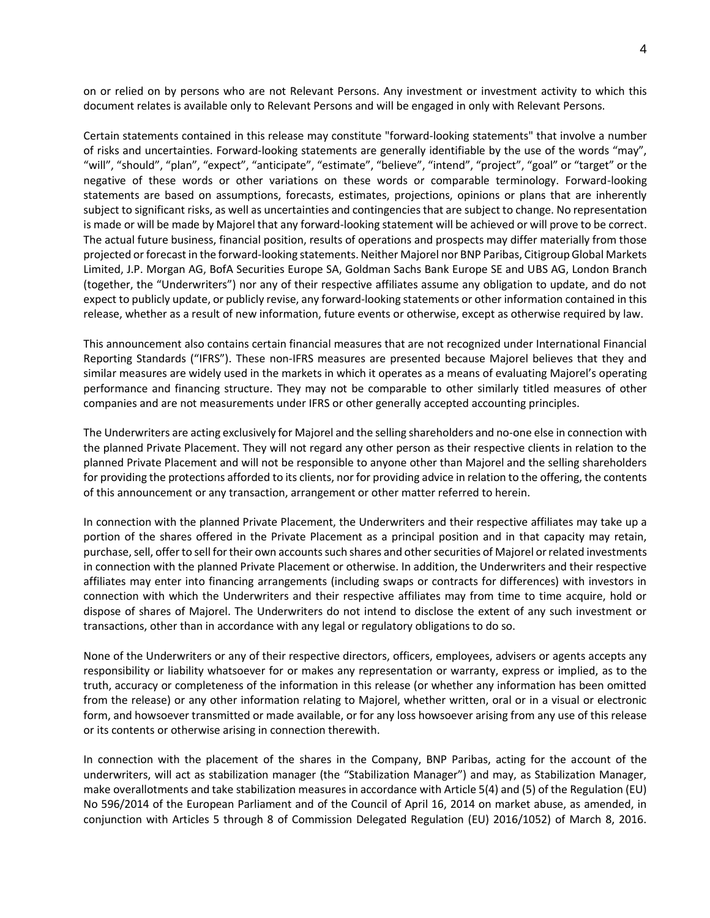on or relied on by persons who are not Relevant Persons. Any investment or investment activity to which this document relates is available only to Relevant Persons and will be engaged in only with Relevant Persons.

Certain statements contained in this release may constitute "forward-looking statements" that involve a number of risks and uncertainties. Forward-looking statements are generally identifiable by the use of the words "may", "will", "should", "plan", "expect", "anticipate", "estimate", "believe", "intend", "project", "goal" or "target" or the negative of these words or other variations on these words or comparable terminology. Forward-looking statements are based on assumptions, forecasts, estimates, projections, opinions or plans that are inherently subject to significant risks, as well as uncertainties and contingencies that are subject to change. No representation is made or will be made by Majorel that any forward-looking statement will be achieved or will prove to be correct. The actual future business, financial position, results of operations and prospects may differ materially from those projected or forecast in the forward-looking statements. Neither Majorel nor BNP Paribas, Citigroup Global Markets Limited, J.P. Morgan AG, BofA Securities Europe SA, Goldman Sachs Bank Europe SE and UBS AG, London Branch (together, the "Underwriters") nor any of their respective affiliates assume any obligation to update, and do not expect to publicly update, or publicly revise, any forward-looking statements or other information contained in this release, whether as a result of new information, future events or otherwise, except as otherwise required by law.

This announcement also contains certain financial measures that are not recognized under International Financial Reporting Standards ("IFRS"). These non-IFRS measures are presented because Majorel believes that they and similar measures are widely used in the markets in which it operates as a means of evaluating Majorel's operating performance and financing structure. They may not be comparable to other similarly titled measures of other companies and are not measurements under IFRS or other generally accepted accounting principles.

The Underwriters are acting exclusively for Majorel and the selling shareholders and no-one else in connection with the planned Private Placement. They will not regard any other person as their respective clients in relation to the planned Private Placement and will not be responsible to anyone other than Majorel and the selling shareholders for providing the protections afforded to its clients, nor for providing advice in relation to the offering, the contents of this announcement or any transaction, arrangement or other matter referred to herein.

In connection with the planned Private Placement, the Underwriters and their respective affiliates may take up a portion of the shares offered in the Private Placement as a principal position and in that capacity may retain, purchase, sell, offer to sell for their own accounts such shares and other securities of Majorel or related investments in connection with the planned Private Placement or otherwise. In addition, the Underwriters and their respective affiliates may enter into financing arrangements (including swaps or contracts for differences) with investors in connection with which the Underwriters and their respective affiliates may from time to time acquire, hold or dispose of shares of Majorel. The Underwriters do not intend to disclose the extent of any such investment or transactions, other than in accordance with any legal or regulatory obligations to do so.

None of the Underwriters or any of their respective directors, officers, employees, advisers or agents accepts any responsibility or liability whatsoever for or makes any representation or warranty, express or implied, as to the truth, accuracy or completeness of the information in this release (or whether any information has been omitted from the release) or any other information relating to Majorel, whether written, oral or in a visual or electronic form, and howsoever transmitted or made available, or for any loss howsoever arising from any use of this release or its contents or otherwise arising in connection therewith.

In connection with the placement of the shares in the Company, BNP Paribas, acting for the account of the underwriters, will act as stabilization manager (the "Stabilization Manager") and may, as Stabilization Manager, make overallotments and take stabilization measures in accordance with Article 5(4) and (5) of the Regulation (EU) No 596/2014 of the European Parliament and of the Council of April 16, 2014 on market abuse, as amended, in conjunction with Articles 5 through 8 of Commission Delegated Regulation (EU) 2016/1052) of March 8, 2016.